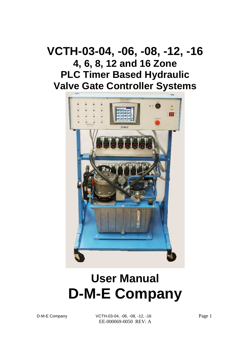# **VCTH-03-04, -06, -08, -12, -16 4, 6, 8, 12 and 16 Zone PLC Timer Based Hydraulic Valve Gate Controller Systems**



# **User Manual D-M-E Company**

D-M-E Company  $VCH-03-04$ , -06, -08, -12, -16 Page 1 EE-000069-0050 REV: A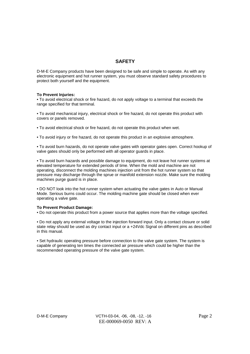# **SAFETY**

D-M-E Company products have been designed to be safe and simple to operate. As with any electronic equipment and hot runner system, you must observe standard safety procedures to protect both yourself and the equipment.

#### **To Prevent Injuries:**

• To avoid electrical shock or fire hazard, do not apply voltage to a terminal that exceeds the range specified for that terminal.

• To avoid mechanical injury, electrical shock or fire hazard, do not operate this product with covers or panels removed.

• To avoid electrical shock or fire hazard, do not operate this product when wet.

• To avoid injury or fire hazard, do not operate this product in an explosive atmosphere.

• To avoid burn hazards, do not operate valve gates with operator gates open. Correct hookup of valve gates should only be performed with all operator guards in place.

• To avoid burn hazards and possible damage to equipment, do not leave hot runner systems at elevated temperature for extended periods of time. When the mold and machine are not operating, disconnect the molding machines injection unit from the hot runner system so that pressure may discharge through the sprue or manifold extension nozzle. Make sure the molding machines purge guard is in place.

• DO NOT look into the hot runner system when actuating the valve gates in Auto or Manual Mode. Serious burns could occur. The molding machine gate should be closed when ever operating a valve gate.

#### **To Prevent Product Damage:**

• Do not operate this product from a power source that applies more than the voltage specified.

• Do not apply any external voltage to the injection forward input. Only a contact closure or solid state relay should be used as dry contact input or a +24Vdc Signal on different pins as described in this manual.

• Set hydraulic operating pressure before connection to the valve gate system. The system is capable of generating ten times the connected air pressure which could be higher than the recommended operating pressure of the valve gate system.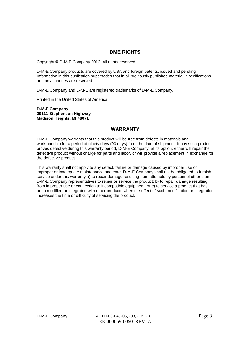#### **DME RIGHTS**

Copyright © D-M-E Company 2012. All rights reserved.

D-M-E Company products are covered by USA and foreign patents, issued and pending. Information in this publication supersedes that in all previously published material. Specifications and any changes are reserved.

D-M-E Company and D-M-E are registered trademarks of D-M-E Company.

Printed in the United States of America

**D-M-E Company 29111 Stephenson Highway Madison Heights, MI 48071** 

### **WARRANTY**

D-M-E Company warrants that this product will be free from defects in materials and workmanship for a period of ninety days (90 days) from the date of shipment. If any such product proves defective during this warranty period, D-M-E Company, at its option, either will repair the defective product without charge for parts and labor, or will provide a replacement in exchange for the defective product.

This warranty shall not apply to any defect, failure or damage caused by improper use or improper or inadequate maintenance and care. D-M-E Company shall not be obligated to furnish service under this warranty a) to repair damage resulting from attempts by personnel other than D-M-E Company representatives to repair or service the product; b) to repair damage resulting from improper use or connection to incompatible equipment; or c) to service a product that has been modified or integrated with other products when the effect of such modification or integration increases the time or difficulty of servicing the product.

D-M-E Company  $VCH-03-04$ , -06, -08, -12, -16 Page 3 EE-000069-0050 REV: A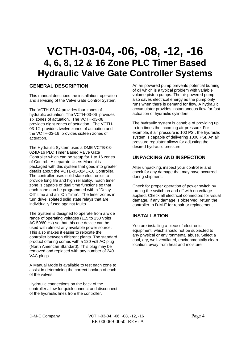# **VCTH-03-04, -06, -08, -12, -16 4, 6, 8, 12 & 16 Zone PLC Timer Based Hydraulic Valve Gate Controller Systems**

### **GENERAL DESCRIPTION**

This manual describes the installation, operation and servicing of the Valve Gate Control System.

The VCTH-03-04 provides four zones of hydraulic actuation. The VCTH-03-06 provides six zones of actuation. The VCTH-03-08 provides eight zones of actuation. The VCTH-03-12 provides twelve zones of actuation and the VCTH-03-16 provides sixteen zones of actuation.

The Hydraulic System uses a DME VCTB-03- 024D-16 PLC Timer Based Valve Gate Controller which can be setup for 1 to 16 zones of Control. A separate Users Manual is packaged with this system that goes into greater details about the VCTB-03-024D-16 Controller. The controller uses solid state electronics to provide long life and high reliability. Each timer zone is capable of dual time functions so that each zone can be programmed with a "Delay Off" time and an "On Time". The timer zones in turn drive isolated solid state relays that are individually fused against faults.

The System is designed to operate from a wide range of operating voltages (115 to 250 Volts AC 50/60 Hz) so that this one device can be used with almost any available power source. This also makes it easier to relocate the controller between different plants. The standard product offering comes with a 120 volt AC plug (North American Standard). This plug may be removed and replaced with any number of 240 VAC plugs.

A Manual Mode is available to test each zone to assist in determining the correct hookup of each of the valves.

Hydraulic connections on the back of the controller allow for quick connect and disconnect of the hydraulic lines from the controller.

An air powered pump prevents potential burning of oil which is a typical problem with variable volume piston pumps. The air powered pump also saves electrical energy as the pump only runs when there is demand for flow. A hydraulic accumulator provides instantaneous flow for fast actuation of hydraulic cylinders.

The hydraulic system is capable of providing up to ten times the incoming air pressure. For example, if air pressure is 100 PSI, the hydraulic system is capable of delivering 1000 PSI. An air pressure regulator allows for adjusting the desired hydraulic pressure

## **UNPACKING AND INSPECTION**

After unpacking, inspect your controller and check for any damage that may have occurred during shipment.

Check for proper operation of power switch by turning the switch on and off with no voltage applied. Check all electrical connectors for visual damage. If any damage is observed, return the controller to D-M-E for repair or replacement.

# **INSTALLATION**

You are installing a piece of electronic equipment, which should not be subjected to any physical or environmental abuse. Select a cool, dry, well-ventilated, environmentally clean location, away from heat and moisture.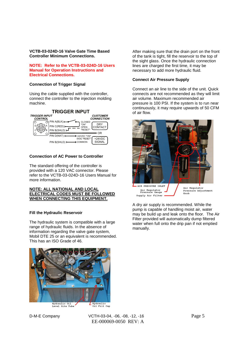#### **VCTB-03-024D-16 Valve Gate Time Based Controller Minimum Connections.**

#### **NOTE: Refer to the VCTB-03-024D-16 Users Manual for Operation Instructions and Electrical Connections.**

#### **Connection of Trigger Signal**

Using the cable supplied with the controller, connect the controller to the injection molding machine.



#### **Connection of AC Power to Controller**

The standard offering of the controller is provided with a 120 VAC connector. Please refer to the VCTB-03-024D-16 Users Manual for more information.

#### **NOTE: ALL NATIONAL AND LOCAL ELECTRICAL CODES MUST BE FOLLOWED WHEN CONNECTING THIS EQUIPMENT.**

#### **Fill the Hydraulic Reservoir**

The hydraulic system is compatible with a large range of hydraulic fluids. In the absence of information regarding the valve gate system, Mobil DTE 25 or an equivalent is recommended. This has an ISO Grade of 46.



nydraulic Oli<br>Level Site Tube

D-M-E Company  $VCH-03-04$ , -06, -08, -12, -16 Page 5 EE-000069-0050 REV: A

After making sure that the drain port on the front of the tank is tight, fill the reservoir to the top of the sight glass. Once the hydraulic connection lines are charged the first time, it may be necessary to add more hydraulic fluid.

#### **Connect Air Pressure Supply**

Connect an air line to the side of the unit. Quick connects are not recommended as they will limit air volume. Maximum recommended air pressure is 100 PSI. If the system is to run near continuously, it may require upwards of 50 CFM of air flow.



A dry air supply is recommended. While the pump is capable of handling moist air, water may be build up and leak onto the floor. The Air Filter provided will automatically dump filtered water when full onto the drip pan if not emptied manually.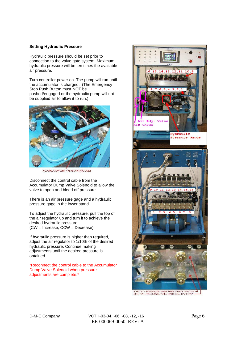#### **Setting Hydraulic Pressure**

Hydraulic pressure should be set prior to connection to the valve gate system. Maximum hydraulic pressure will be ten times the available air pressure.

Turn controller power on. The pump will run until the accumulator is charged. (The Emergency Stop Push Button must NOT be pushed/engaged or the hydraulic pump will not be supplied air to allow it to run.)



ACCUMULATOR DUMP VALVE CONTROL CABLE

Disconnect the control cable from the Accumulator Dump Valve Solenoid to allow the valve to open and bleed off pressure.

There is an air pressure gage and a hydraulic pressure gage in the lower stand.

To adjust the hydraulic pressure, pull the top of the air regulator up and turn it to achieve the desired hydraulic pressure. (CW = Increase, CCW = Decrease)

If hydraulic pressure is higher than required, adjust the air regulator to 1/10th of the desired hydraulic pressure. Continue making adjustments until the desired pressure is obtained.

\*Reconnect the control cable to the Accumulator Dump Valve Solenoid when pressure adjustments are complete.\*



PORT "A" = PRESSURISED WHEN TIMER ZONE IS "INACTIVE"  $\frac{\Delta}{\phantom{\Delta}}$  PORT "B" = PRESSURIZED WHEN TIMER ZONE IS "ACTIVE"  $\frac{\phantom{\Delta}}{\phantom{\Delta}}$ 

D-M-E Company VCTH-03-04, -06, -08, -12, -16 Page 6 EE-000069-0050 REV: A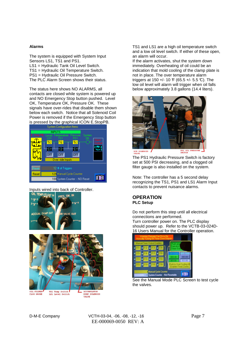#### **Alarms**

The system is equipped with System Input Sensors LS1, TS1 and PS1. LS1 = Hydraulic Tank Oil Level Switch. TS1 = Hydraulic Oil Temperature Switch.

PS1 = Hydraulic Oil Pressure Switch.

The PLC Alarm Screen shows their status.

The status here shows NO ALARMS, all contacts are closed while system is powered up and NO Emergency Stop button pushed. Level OK, Temperature OK, Pressure OK. These signals have over-rides that disable them shown below each switch. Notice that all Solenoid Coil Power is removed if the Emergency Stop button **is pressed by the graphical ICON E.StopPB.**<br>System Configuration Items



# **Inputs wired into back of Controller.**<br>OIL TEMP/FLOAT IN CONSERVANTING THE SAMPLE ON A MAGNET OF SAMPLE ON THE SAMPLE OF SAMPLE OF SAMPLE OF SAMPLE O





TS1 and LS1 are a high oil temperature switch and a low oil level switch. If either of these open, an alarm will occur.

If the alarm activates, shut the system down immediately. Overheating of oil could be an indication that mold cooling of the clamp plate is not in place. The over temperature alarm triggers at 150 +/- 10  $F$  (65.5 +/- 5.5 °C). The low oil level will alarm will trigger when oil falls below approximately 3.8 gallons (14.4 liters).



The PS1 Hydraulic Pressure Switch is factory set at 500 PSI decreasing, and a clogged oil filter gauge is also installed on the system.

Note: The controller has a 5 second delay recognizing the TS1, PS1 and LS1 Alarm Input contacts to prevent nuisance alarms.

#### **OPERATION PLC Setup**

Do not perform this step until all electrical connections are performed. Turn controller power on. The PLC display should power up. Refer to the VCTB-03-024D-16 Users Manual for the Controller operation.



See the Manual Mode PLC Screen to test cycle the valves.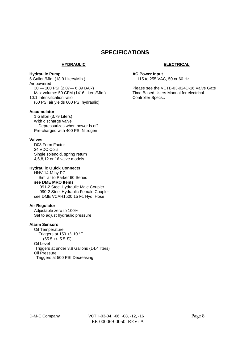# **SPECIFICATIONS**

#### **HYDRAULIC**

#### **Hydraulic Pump**

5 Gallon/Min. (18.9 Liters/Min.) Air powered 30 — 100 PSI (2.07— 6.89 BAR) Max volume: 50 CFM (1416 Liters/Min.) 10:1 Intensification ratio (60 PSI air yields 600 PSI hydraulic)

#### **Accumulator**

 1 Gallon (3.79 Liters) With discharge valve Depressurizes when power is off Pre-charged with 400 PSI Nitrogen

#### **Valves**

 D03 Form Factor 24 VDC Coils Single solenoid, spring return 4,6,8,12 or 16 valve models

#### **Hydraulic Quick Connects**

 HNV-14-M by PCI Similar to Parker 60 Series  **see DME MRO Items**  991-2 Steel Hydraulic Male Coupler 990-2 Steel Hydraulic Female Coupler see DME VCAH1500 15 Ft. Hyd. Hose

#### **Air Regulator**

 Adjustable zero to 100% Set to adjust hydraulic pressure

#### **Alarm Sensors**

 Oil Temperature Triggers at 150 +/- 10 °F  $(65.5 + - 5.5 \text{ C})$  Oil Level Triggers at under 3.8 Gallons (14.4 liters) Oil Pressure Triggers at 500 PSI Decreasing

#### **ELECTRICAL**

#### **AC Power Input**

115 to 255 VAC, 50 or 60 Hz

Please see the VCTB-03-024D-16 Valve Gate Time Based Users Manual for electrical Controller Specs..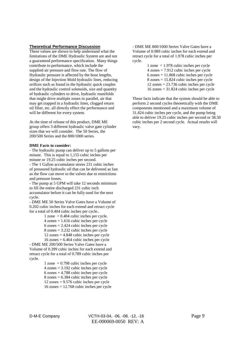#### **Theoretical Performance Discussion**

These values are shown to help understand what the limitations of the DME Hydraulic System are and not a guaranteed performance specification. Many things contribute to performance, which include the supplied air pressure and flow rate. The flow of Hydraulic pressure is affected by the hose lengths, design of the Injection Mold hydraulic lines, reducing orifices such as found in the hydraulic quick couples and the hydraulic control solenoids, size and quantity of hydraulic cylinders to drive, hydraulic manifolds that might drive multiple zones in parallel, air that may get trapped in a hydraulic lines, clogged return oil filter, etc. all directly effect the performance and will be different for every system.

At the time of release of this product, DME ME group offers 3 different hydraulic valve gate cylinder sizes that we will consider. The 50 Series, the 200/500 Series and the 800/1000 series.

#### **DME Facts to consider:**

- The hydraulic pump can deliver up to 5 gallons per minute. This is equal to 1,155 cubic inches per minute or 19.25 cubic inches per second.

- The 1 Gallon accumulator stores 231 cubic inches of pressured hydraulic oil that can be delivered as fast as the flow can move to the valves due to restrictions and pressure losses.

- The pump at 5 GPM will take 12 seconds minimum to fill the entire discharged 231 cubic inch accumulator before it can be fully used for the next cycle.

- DME ME 50 Series Valve Gates have a Volume of 0.202 cubic inches for each extend and retract cycle for a total of 0.404 cubic inches per cycle..

1 zone  $= 0.404$  cubic inches per cycle.

 $4 \text{ zones} = 1.616 \text{ cubic inches per cycle}$ 

 $6 \text{ zones} = 2.424 \text{ cubic inches per cycle}$ 

8 zones = 3.232 cubic inches per cycle

12 zones = 4.848 cubic inches per cycle

 $16 \text{ zones} = 6.464 \text{ cubic inches per cycle}$ 

- DME ME 200/500 Series Valve Gates have a Volume of 0.399 cubic inches for each extend and retract cycle for a total of 0.789 cubic inches per cycle.

1 zone  $= 0.798$  cubic inches per cycle 4 zones = 3.192 cubic inches per cycle  $6 \text{ zones} = 4.788 \text{ cubic inches per cycle}$  8 zones = 6.384 cubic inches per cycle 12 zones = 9.576 cubic inches per cycle 16 zones = 12.768 cubic inches per cycle

- DME ME 800/1000 Series Valve Gates have a Volume of 0.989 cubic inches for each extend and retract cycle for a total of 1.978 cubic inches per cycle.

> 1 zone  $= 1.978$  cubic inches per cycle  $4 \text{ zones} = 7.912 \text{ cubic inches per cycle}$  $6 \text{ zones} = 11.868 \text{ cubic inches per cycle}$  8 zones = 15.824 cubic inches per cycle 12 zones = 23.736 cubic inches per cycle 16 zones = 31.824 cubic inches per cycle

These facts indicate that the system should be able to perform 2 second cycles theoretically with the DME components mentioned and a maximum volume of 31.824 cubic inches per cycle, and the pump being able to deliver 19.25 cubic inches per second or 38.50 cubic inches per 2 second cycle. Actual results will vary.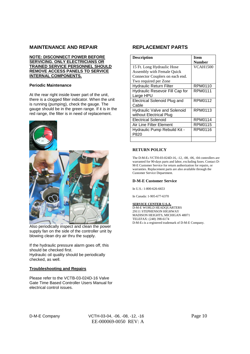### **MAINTENANCE AND REPAIR**

#### **NOTE: DISCONNECT POWER BEFORE SERVICING. ONLY ELECTRICIANS OR TRAINED SERVICE PERSONNEL SHOULD REMOVE ACCESS PANELS TO SERVICE INTERNAL COMPONENTS.**

#### **Periodic Maintenance**

At the rear right inside lower part of the unit. there is a clogged filter indicator. When the unit is running (pumping), check the gauge. The gauge should be in the green range. If it is in the red range, the filter is in need of replacement.



Also periodically inspect and clean the power supply fan on the side of the controller unit by blowing clean dry air thru the supply.

If the hydraulic pressure alarm goes off, this should be checked first. Hydraulic oil quality should be periodically checked, as well.

#### **Troubleshooting and Repairs**

Please refer to the VCTB-03-024D-16 Valve Gate Time Based Controller Users Manual for electrical control issues.

#### **REPLACEMENT PARTS**

| <b>Description</b>                  | <b>Item</b>     |
|-------------------------------------|-----------------|
|                                     | <b>Number</b>   |
| 15 Ft. Long Hydraulic Hose          | <b>VCAH1500</b> |
| Assembly with Female Quick          |                 |
| Connector Couplers on each end.     |                 |
| Two required per Zone               |                 |
| <b>Hydraulic Return Filter</b>      | RPM0110         |
| Hydraulic Resevoir Fill Cap for     | RPM0111         |
| Large HPU                           |                 |
| <b>Electrical Solenoid Plug and</b> | RPM0112         |
| Cable                               |                 |
| <b>Hydraulic Valve and Solenoid</b> | RPM0113         |
| without Electrical Plug             |                 |
| <b>Electrical Solenoid</b>          | <b>RPM0114</b>  |
| Air Line Filter Element             | <b>RPM0115</b>  |
| Hydraulic Pump Rebuild Kit -        | RPM0116         |
| P820                                |                 |
|                                     |                 |

#### **RETURN POLICY**

The D-M-E® VCTH-03-024D-16, -12, -08, -06, -04 controllers are warranted for 90-days parts and labor, excluding fuses. Contact D-M-E Customer Service for return authorization for repairs, or warranties. Replacement parts are also available through the Customer Service Department.

#### **D-M-E Customer Service**

In U.S.: 1-800-626-6653

In Canada: 1-905-677-6370

#### **SERVICE CENTER U.S.A.**

D-M-E WORLD HEADQUARTERS 29111 STEPHENSON HIGHWAY MADISON HEIGHTS, MICHIGAN 48071 TELEFAX: (248) 398-6174 D-M-E® is a registered trademark of D-M-E Company.